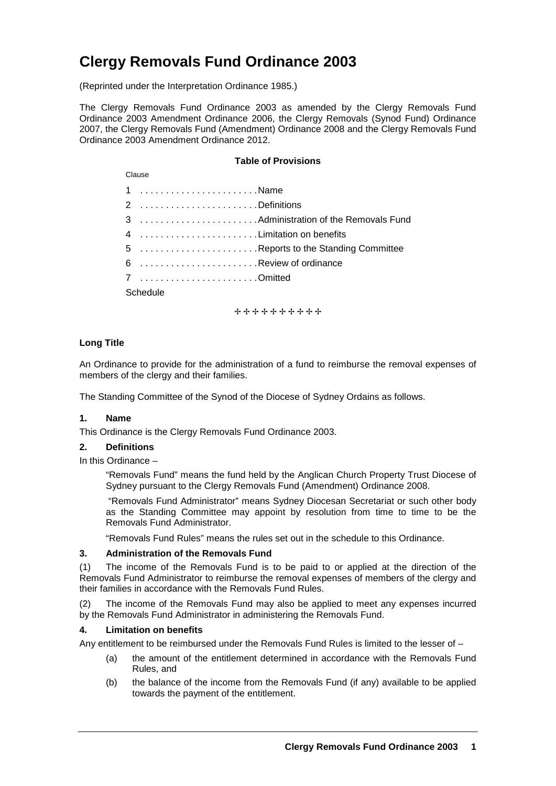# **Clergy Removals Fund Ordinance 2003**

(Reprinted under the Interpretation Ordinance 1985.)

The Clergy Removals Fund Ordinance 2003 as amended by the Clergy Removals Fund Ordinance 2003 Amendment Ordinance 2006, the Clergy Removals (Synod Fund) Ordinance 2007, the Clergy Removals Fund (Amendment) Ordinance 2008 and the Clergy Removals Fund Ordinance 2003 Amendment Ordinance 2012.

# **Table of Provisions**

| Clause   |                                     |  |  |
|----------|-------------------------------------|--|--|
|          | 1 Name                              |  |  |
|          | 2 Definitions                       |  |  |
|          |                                     |  |  |
|          | 4 Limitation on benefits            |  |  |
|          | 5 Reports to the Standing Committee |  |  |
|          | 6 Review of ordinance               |  |  |
|          | 7 Omitted                           |  |  |
| Schedule |                                     |  |  |

+ + + + + + + + + +

## **Long Title**

An Ordinance to provide for the administration of a fund to reimburse the removal expenses of members of the clergy and their families.

The Standing Committee of the Synod of the Diocese of Sydney Ordains as follows.

## **1. Name**

This Ordinance is the Clergy Removals Fund Ordinance 2003.

## **2. Definitions**

In this Ordinance –

"Removals Fund" means the fund held by the Anglican Church Property Trust Diocese of Sydney pursuant to the Clergy Removals Fund (Amendment) Ordinance 2008.

"Removals Fund Administrator" means Sydney Diocesan Secretariat or such other body as the Standing Committee may appoint by resolution from time to time to be the Removals Fund Administrator.

"Removals Fund Rules" means the rules set out in the schedule to this Ordinance.

#### **3. Administration of the Removals Fund**

(1) The income of the Removals Fund is to be paid to or applied at the direction of the Removals Fund Administrator to reimburse the removal expenses of members of the clergy and their families in accordance with the Removals Fund Rules.

(2) The income of the Removals Fund may also be applied to meet any expenses incurred by the Removals Fund Administrator in administering the Removals Fund.

## **4. Limitation on benefits**

Any entitlement to be reimbursed under the Removals Fund Rules is limited to the lesser of –

- (a) the amount of the entitlement determined in accordance with the Removals Fund Rules, and
- (b) the balance of the income from the Removals Fund (if any) available to be applied towards the payment of the entitlement.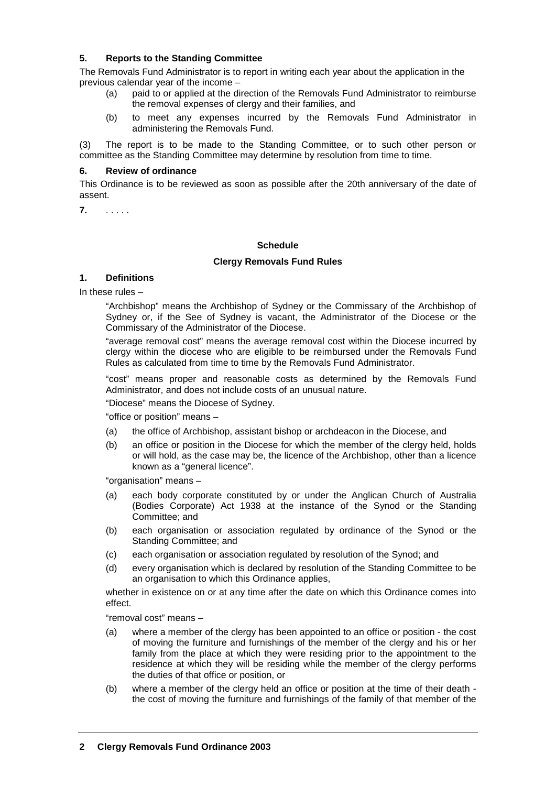# **5. Reports to the Standing Committee**

The Removals Fund Administrator is to report in writing each year about the application in the previous calendar year of the income –

- (a) paid to or applied at the direction of the Removals Fund Administrator to reimburse the removal expenses of clergy and their families, and
- (b) to meet any expenses incurred by the Removals Fund Administrator in administering the Removals Fund.

(3) The report is to be made to the Standing Committee, or to such other person or committee as the Standing Committee may determine by resolution from time to time.

## **6. Review of ordinance**

This Ordinance is to be reviewed as soon as possible after the 20th anniversary of the date of assent.

**7.** . . . . .

#### **Schedule**

#### **Clergy Removals Fund Rules**

## **1. Definitions**

In these rules –

"Archbishop" means the Archbishop of Sydney or the Commissary of the Archbishop of Sydney or, if the See of Sydney is vacant, the Administrator of the Diocese or the Commissary of the Administrator of the Diocese.

"average removal cost" means the average removal cost within the Diocese incurred by clergy within the diocese who are eligible to be reimbursed under the Removals Fund Rules as calculated from time to time by the Removals Fund Administrator.

"cost" means proper and reasonable costs as determined by the Removals Fund Administrator, and does not include costs of an unusual nature.

"Diocese" means the Diocese of Sydney.

"office or position" means –

- (a) the office of Archbishop, assistant bishop or archdeacon in the Diocese, and
- (b) an office or position in the Diocese for which the member of the clergy held, holds or will hold, as the case may be, the licence of the Archbishop, other than a licence known as a "general licence".

"organisation" means –

- (a) each body corporate constituted by or under the Anglican Church of Australia (Bodies Corporate) Act 1938 at the instance of the Synod or the Standing Committee; and
- (b) each organisation or association regulated by ordinance of the Synod or the Standing Committee; and
- (c) each organisation or association regulated by resolution of the Synod; and
- (d) every organisation which is declared by resolution of the Standing Committee to be an organisation to which this Ordinance applies,

whether in existence on or at any time after the date on which this Ordinance comes into effect.

"removal cost" means –

- (a) where a member of the clergy has been appointed to an office or position the cost of moving the furniture and furnishings of the member of the clergy and his or her family from the place at which they were residing prior to the appointment to the residence at which they will be residing while the member of the clergy performs the duties of that office or position, or
- (b) where a member of the clergy held an office or position at the time of their death the cost of moving the furniture and furnishings of the family of that member of the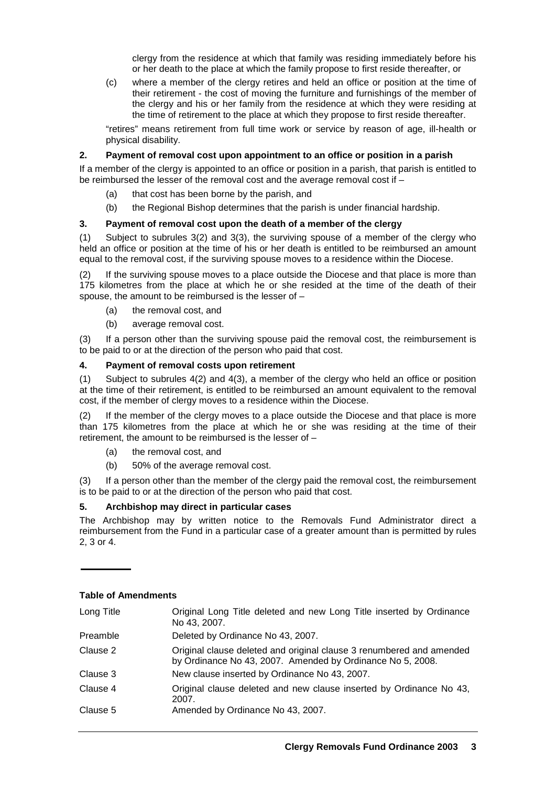clergy from the residence at which that family was residing immediately before his or her death to the place at which the family propose to first reside thereafter, or

(c) where a member of the clergy retires and held an office or position at the time of their retirement - the cost of moving the furniture and furnishings of the member of the clergy and his or her family from the residence at which they were residing at the time of retirement to the place at which they propose to first reside thereafter.

"retires" means retirement from full time work or service by reason of age, ill-health or physical disability.

# **2. Payment of removal cost upon appointment to an office or position in a parish**

If a member of the clergy is appointed to an office or position in a parish, that parish is entitled to be reimbursed the lesser of the removal cost and the average removal cost if –

- (a) that cost has been borne by the parish, and
- (b) the Regional Bishop determines that the parish is under financial hardship.

# **3. Payment of removal cost upon the death of a member of the clergy**

(1) Subject to subrules 3(2) and 3(3), the surviving spouse of a member of the clergy who held an office or position at the time of his or her death is entitled to be reimbursed an amount equal to the removal cost, if the surviving spouse moves to a residence within the Diocese.

(2) If the surviving spouse moves to a place outside the Diocese and that place is more than 175 kilometres from the place at which he or she resided at the time of the death of their spouse, the amount to be reimbursed is the lesser of –

- (a) the removal cost, and
- (b) average removal cost.

(3) If a person other than the surviving spouse paid the removal cost, the reimbursement is to be paid to or at the direction of the person who paid that cost.

# **4. Payment of removal costs upon retirement**

(1) Subject to subrules 4(2) and 4(3), a member of the clergy who held an office or position at the time of their retirement, is entitled to be reimbursed an amount equivalent to the removal cost, if the member of clergy moves to a residence within the Diocese.

(2) If the member of the clergy moves to a place outside the Diocese and that place is more than 175 kilometres from the place at which he or she was residing at the time of their retirement, the amount to be reimbursed is the lesser of –

- (a) the removal cost, and
- (b) 50% of the average removal cost.

(3) If a person other than the member of the clergy paid the removal cost, the reimbursement is to be paid to or at the direction of the person who paid that cost.

# **5. Archbishop may direct in particular cases**

The Archbishop may by written notice to the Removals Fund Administrator direct a reimbursement from the Fund in a particular case of a greater amount than is permitted by rules 2, 3 or 4.

| Long Title | Original Long Title deleted and new Long Title inserted by Ordinance<br>No 43, 2007.                                               |
|------------|------------------------------------------------------------------------------------------------------------------------------------|
| Preamble   | Deleted by Ordinance No 43, 2007.                                                                                                  |
| Clause 2   | Original clause deleted and original clause 3 renumbered and amended<br>by Ordinance No 43, 2007. Amended by Ordinance No 5, 2008. |
| Clause 3   | New clause inserted by Ordinance No 43, 2007.                                                                                      |
| Clause 4   | Original clause deleted and new clause inserted by Ordinance No 43,<br>2007.                                                       |
| Clause 5   | Amended by Ordinance No 43, 2007.                                                                                                  |

## **Table of Amendments**